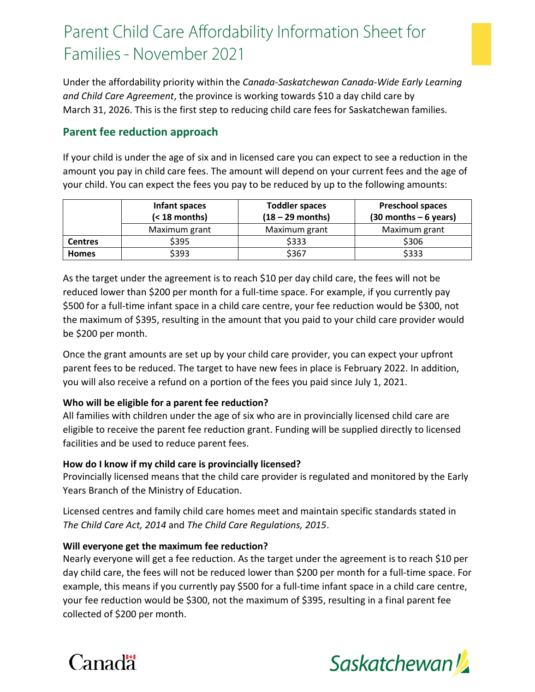# Parent Child Care Affordability Information Sheet for Families - November 2021

Under the affordability priority within the *Canada-Saskatchewan Canada-Wide Early Learning and Child Care Agreement*, the province is working towards \$10 a day child care by March 31, 2026. This is the first step to reducing child care fees for Saskatchewan families.

# **Parent fee reduction approach**

If your child is under the age of six and in licensed care you can expect to see a reduction in the amount you pay in child care fees. The amount will depend on your current fees and the age of your child. You can expect the fees you pay to be reduced by up to the following amounts:

|                | Infant spaces<br>$(18 \text{ months})$ | <b>Toddler spaces</b><br>$(18 - 29$ months) | <b>Preschool spaces</b><br>$(30$ months $-6$ years) |
|----------------|----------------------------------------|---------------------------------------------|-----------------------------------------------------|
|                | Maximum grant                          | Maximum grant                               | Maximum grant                                       |
| <b>Centres</b> | \$395                                  | \$333                                       | \$306                                               |
| <b>Homes</b>   | \$393                                  | \$367                                       | \$333                                               |

As the target under the agreement is to reach \$10 per day child care, the fees will not be reduced lower than \$200 per month for a full-time space. For example, if you currently pay \$500 for a full-time infant space in a child care centre, your fee reduction would be \$300, not the maximum of \$395, resulting in the amount that you paid to your child care provider would be \$200 per month.

Once the grant amounts are set up by your child care provider, you can expect your upfront parent fees to be reduced. The target to have new fees in place is February 2022. In addition, you will also receive a refund on a portion of the fees you paid since July 1, 2021.

# **Who will be eligible for a parent fee reduction?**

All families with children under the age of six who are in provincially licensed child care are eligible to receive the parent fee reduction grant. Funding will be supplied directly to licensed facilities and be used to reduce parent fees.

# **How do I know if my child care is provincially licensed?**

Provincially licensed means that the child care provider is regulated and monitored by the Early Years Branch of the Ministry of Education.

Licensed centres and family child care homes meet and maintain specific standards stated in *The Child Care Act, 2014* and *The Child Care Regulations, 2015*.

# **Will everyone get the maximum fee reduction?**

Nearly everyone will get a fee reduction. As the target under the agreement is to reach \$10 per day child care, the fees will not be reduced lower than \$200 per month for a full-time space. For example, this means if you currently pay \$500 for a full-time infant space in a child care centre, your fee reduction would be \$300, not the maximum of \$395, resulting in a final parent fee collected of \$200 per month.



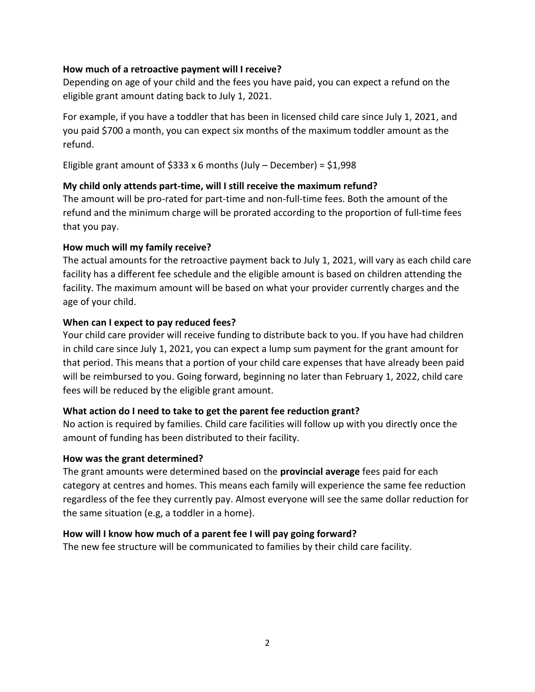### **How much of a retroactive payment will I receive?**

Depending on age of your child and the fees you have paid, you can expect a refund on the eligible grant amount dating back to July 1, 2021.

For example, if you have a toddler that has been in licensed child care since July 1, 2021, and you paid \$700 a month, you can expect six months of the maximum toddler amount as the refund.

Eligible grant amount of  $$333 \times 6$  months (July – December) =  $$1,998$ 

### **My child only attends part-time, will I still receive the maximum refund?**

The amount will be pro-rated for part-time and non-full-time fees. Both the amount of the refund and the minimum charge will be prorated according to the proportion of full-time fees that you pay.

### **How much will my family receive?**

The actual amounts for the retroactive payment back to July 1, 2021, will vary as each child care facility has a different fee schedule and the eligible amount is based on children attending the facility. The maximum amount will be based on what your provider currently charges and the age of your child.

### **When can I expect to pay reduced fees?**

Your child care provider will receive funding to distribute back to you. If you have had children in child care since July 1, 2021, you can expect a lump sum payment for the grant amount for that period. This means that a portion of your child care expenses that have already been paid will be reimbursed to you. Going forward, beginning no later than February 1, 2022, child care fees will be reduced by the eligible grant amount.

# **What action do I need to take to get the parent fee reduction grant?**

No action is required by families. Child care facilities will follow up with you directly once the amount of funding has been distributed to their facility.

#### **How was the grant determined?**

The grant amounts were determined based on the **provincial average** fees paid for each category at centres and homes. This means each family will experience the same fee reduction regardless of the fee they currently pay. Almost everyone will see the same dollar reduction for the same situation (e.g, a toddler in a home).

# **How will I know how much of a parent fee I will pay going forward?**

The new fee structure will be communicated to families by their child care facility.